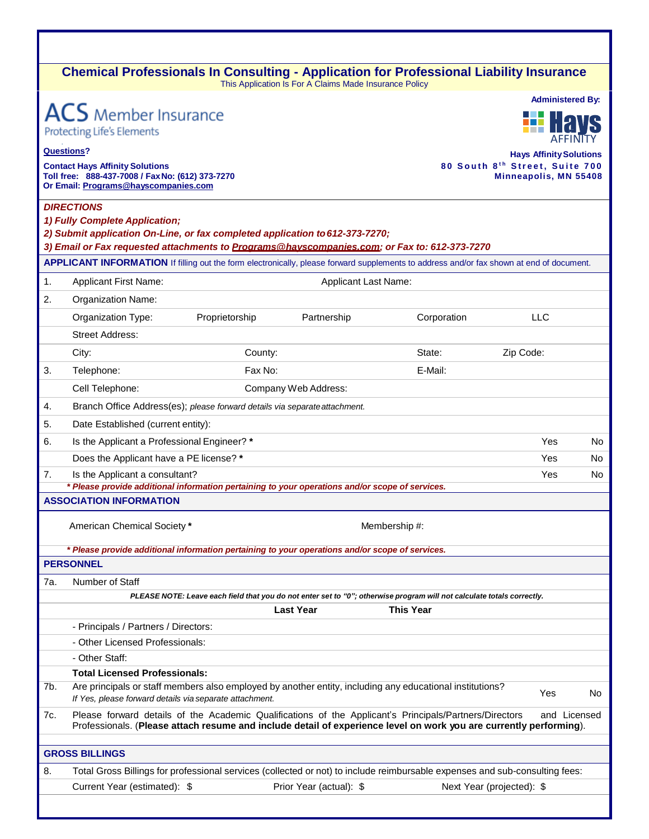### **Chemical Professionals In Consulting - Application for Professional Liability Insurance** This Application Is For A Claims Made Insurance Policy

|                   |                                                                                                                                                                                                                              |                | <b>Administered By:</b>     |                                                                                                                        |                                                         |              |  |  |
|-------------------|------------------------------------------------------------------------------------------------------------------------------------------------------------------------------------------------------------------------------|----------------|-----------------------------|------------------------------------------------------------------------------------------------------------------------|---------------------------------------------------------|--------------|--|--|
|                   | <b>ACS</b> Member Insurance                                                                                                                                                                                                  |                |                             |                                                                                                                        |                                                         |              |  |  |
|                   | <b>Protecting Life's Elements</b>                                                                                                                                                                                            |                |                             |                                                                                                                        |                                                         |              |  |  |
| <b>Questions?</b> |                                                                                                                                                                                                                              |                |                             |                                                                                                                        | <b>Hays Affinity Solutions</b>                          |              |  |  |
|                   | <b>Contact Hays Affinity Solutions</b><br>Toll free: 888-437-7008 / Fax No: (612) 373-7270                                                                                                                                   |                |                             |                                                                                                                        | 80 South 8th Street, Suite 700<br>Minneapolis, MN 55408 |              |  |  |
|                   | Or Email: Programs@hayscompanies.com                                                                                                                                                                                         |                |                             |                                                                                                                        |                                                         |              |  |  |
|                   | <b>DIRECTIONS</b>                                                                                                                                                                                                            |                |                             |                                                                                                                        |                                                         |              |  |  |
|                   | 1) Fully Complete Application;                                                                                                                                                                                               |                |                             |                                                                                                                        |                                                         |              |  |  |
|                   | 2) Submit application On-Line, or fax completed application to 612-373-7270;<br>3) Email or Fax requested attachments to Programs@hayscompanies.com; or Fax to: 612-373-7270                                                 |                |                             |                                                                                                                        |                                                         |              |  |  |
|                   | APPLICANT INFORMATION If filling out the form electronically, please forward supplements to address and/or fax shown at end of document.                                                                                     |                |                             |                                                                                                                        |                                                         |              |  |  |
| 1.                | <b>Applicant First Name:</b>                                                                                                                                                                                                 |                | <b>Applicant Last Name:</b> |                                                                                                                        |                                                         |              |  |  |
| 2.                | Organization Name:                                                                                                                                                                                                           |                |                             |                                                                                                                        |                                                         |              |  |  |
|                   | Organization Type:                                                                                                                                                                                                           | Proprietorship | Partnership                 | Corporation                                                                                                            | <b>LLC</b>                                              |              |  |  |
|                   | <b>Street Address:</b>                                                                                                                                                                                                       |                |                             |                                                                                                                        |                                                         |              |  |  |
|                   | City:                                                                                                                                                                                                                        | County:        |                             | State:                                                                                                                 | Zip Code:                                               |              |  |  |
| 3.                | Telephone:                                                                                                                                                                                                                   | Fax No:        |                             | E-Mail:                                                                                                                |                                                         |              |  |  |
|                   | Cell Telephone:                                                                                                                                                                                                              |                | Company Web Address:        |                                                                                                                        |                                                         |              |  |  |
| 4.                | Branch Office Address(es); please forward details via separate attachment.                                                                                                                                                   |                |                             |                                                                                                                        |                                                         |              |  |  |
| 5.                | Date Established (current entity):                                                                                                                                                                                           |                |                             |                                                                                                                        |                                                         |              |  |  |
| 6.                | Is the Applicant a Professional Engineer? *                                                                                                                                                                                  |                |                             |                                                                                                                        | Yes                                                     | No           |  |  |
|                   | Does the Applicant have a PE license? *                                                                                                                                                                                      |                |                             |                                                                                                                        | Yes                                                     | No.          |  |  |
| 7.                | Is the Applicant a consultant?                                                                                                                                                                                               |                |                             |                                                                                                                        | Yes                                                     | No.          |  |  |
|                   | * Please provide additional information pertaining to your operations and/or scope of services.<br><b>ASSOCIATION INFORMATION</b>                                                                                            |                |                             |                                                                                                                        |                                                         |              |  |  |
|                   |                                                                                                                                                                                                                              |                |                             |                                                                                                                        |                                                         |              |  |  |
|                   | American Chemical Society *                                                                                                                                                                                                  |                |                             | Membership #:                                                                                                          |                                                         |              |  |  |
|                   | * Please provide additional information pertaining to your operations and/or scope of services.                                                                                                                              |                |                             |                                                                                                                        |                                                         |              |  |  |
|                   | <b>PERSONNEL</b>                                                                                                                                                                                                             |                |                             |                                                                                                                        |                                                         |              |  |  |
| 7а.               | Number of Staff                                                                                                                                                                                                              |                |                             |                                                                                                                        |                                                         |              |  |  |
|                   |                                                                                                                                                                                                                              |                |                             | PLEASE NOTE: Leave each field that you do not enter set to "0"; otherwise program will not calculate totals correctly. |                                                         |              |  |  |
|                   |                                                                                                                                                                                                                              |                | <b>Last Year</b>            | <b>This Year</b>                                                                                                       |                                                         |              |  |  |
|                   | - Principals / Partners / Directors:                                                                                                                                                                                         |                |                             |                                                                                                                        |                                                         |              |  |  |
|                   | - Other Licensed Professionals:<br>- Other Staff:                                                                                                                                                                            |                |                             |                                                                                                                        |                                                         |              |  |  |
|                   | <b>Total Licensed Professionals:</b>                                                                                                                                                                                         |                |                             |                                                                                                                        |                                                         |              |  |  |
| 7b.               | Are principals or staff members also employed by another entity, including any educational institutions?                                                                                                                     |                |                             |                                                                                                                        |                                                         |              |  |  |
|                   | If Yes, please forward details via separate attachment.                                                                                                                                                                      |                |                             |                                                                                                                        | Yes                                                     | No           |  |  |
| 7c.               | Please forward details of the Academic Qualifications of the Applicant's Principals/Partners/Directors<br>Professionals. (Please attach resume and include detail of experience level on work you are currently performing). |                |                             |                                                                                                                        |                                                         | and Licensed |  |  |
|                   | <b>GROSS BILLINGS</b>                                                                                                                                                                                                        |                |                             |                                                                                                                        |                                                         |              |  |  |
| 8.                | Total Gross Billings for professional services (collected or not) to include reimbursable expenses and sub-consulting fees:                                                                                                  |                |                             |                                                                                                                        |                                                         |              |  |  |
|                   | Current Year (estimated): \$                                                                                                                                                                                                 |                | Prior Year (actual): \$     |                                                                                                                        | Next Year (projected): \$                               |              |  |  |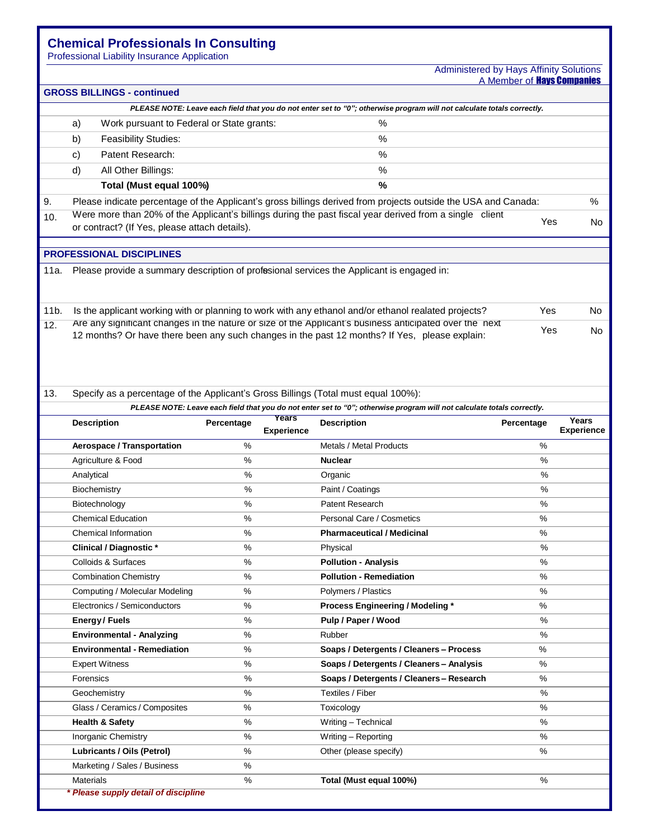## **Chemical Professionals In Consulting**

Professional Liability Insurance Application

#### Administered by Hays Affinity Solutions A Member of **Havs Companies**

|                   | <b>GROSS BILLINGS - continued</b>                                                                                      |                                               |            |                            |                                                                                                                        |            |                            |  |
|-------------------|------------------------------------------------------------------------------------------------------------------------|-----------------------------------------------|------------|----------------------------|------------------------------------------------------------------------------------------------------------------------|------------|----------------------------|--|
|                   | PLEASE NOTE: Leave each field that you do not enter set to "0"; otherwise program will not calculate totals correctly. |                                               |            |                            |                                                                                                                        |            |                            |  |
|                   | a)                                                                                                                     | Work pursuant to Federal or State grants:     |            |                            | $\%$                                                                                                                   |            |                            |  |
|                   | b)                                                                                                                     | <b>Feasibility Studies:</b>                   |            |                            | $\%$                                                                                                                   |            |                            |  |
|                   | Patent Research:<br>$\%$<br>c)                                                                                         |                                               |            |                            |                                                                                                                        |            |                            |  |
|                   | d)                                                                                                                     | All Other Billings:                           |            |                            | %                                                                                                                      |            |                            |  |
|                   |                                                                                                                        | Total (Must equal 100%)                       |            |                            | %                                                                                                                      |            |                            |  |
| 9.                |                                                                                                                        |                                               |            |                            | Please indicate percentage of the Applicant's gross billings derived from projects outside the USA and Canada:         |            | %                          |  |
| 10.               |                                                                                                                        |                                               |            |                            | Were more than 20% of the Applicant's billings during the past fiscal year derived from a single client                |            |                            |  |
|                   |                                                                                                                        | or contract? (If Yes, please attach details). |            |                            |                                                                                                                        | Yes        | No.                        |  |
|                   |                                                                                                                        |                                               |            |                            |                                                                                                                        |            |                            |  |
|                   |                                                                                                                        | <b>PROFESSIONAL DISCIPLINES</b>               |            |                            |                                                                                                                        |            |                            |  |
| 11a.              |                                                                                                                        |                                               |            |                            | Please provide a summary description of profesional services the Applicant is engaged in:                              |            |                            |  |
|                   |                                                                                                                        |                                               |            |                            |                                                                                                                        |            |                            |  |
| 11 <sub>b</sub> . |                                                                                                                        |                                               |            |                            | Is the applicant working with or planning to work with any ethanol and/or ethanol realated projects?                   | Yes        | No.                        |  |
| 12.               |                                                                                                                        |                                               |            |                            | Are any significant changes in the nature or size of the Applicant's business anticipated over the next                |            |                            |  |
|                   |                                                                                                                        |                                               |            |                            | 12 months? Or have there been any such changes in the past 12 months? If Yes, please explain:                          | Yes        | No.                        |  |
|                   |                                                                                                                        |                                               |            |                            |                                                                                                                        |            |                            |  |
|                   |                                                                                                                        |                                               |            |                            |                                                                                                                        |            |                            |  |
|                   |                                                                                                                        |                                               |            |                            |                                                                                                                        |            |                            |  |
| 13.               |                                                                                                                        |                                               |            |                            | Specify as a percentage of the Applicant's Gross Billings (Total must equal 100%):                                     |            |                            |  |
|                   |                                                                                                                        |                                               |            |                            | PLEASE NOTE: Leave each field that you do not enter set to "0"; otherwise program will not calculate totals correctly. |            |                            |  |
|                   | <b>Description</b>                                                                                                     |                                               | Percentage | Years<br><b>Experience</b> | <b>Description</b>                                                                                                     | Percentage | Years<br><b>Experience</b> |  |
|                   |                                                                                                                        | Aerospace / Transportation                    | %          |                            | Metals / Metal Products                                                                                                | %          |                            |  |
|                   |                                                                                                                        | Agriculture & Food                            | %          |                            | <b>Nuclear</b>                                                                                                         | %          |                            |  |
|                   | Analytical                                                                                                             |                                               | $\%$       |                            | Organic                                                                                                                | %          |                            |  |
|                   |                                                                                                                        | Biochemistry                                  | %          |                            | Paint / Coatings                                                                                                       | %          |                            |  |
|                   |                                                                                                                        | Biotechnology                                 | %          |                            | <b>Patent Research</b>                                                                                                 | %          |                            |  |
|                   |                                                                                                                        | <b>Chemical Education</b>                     | %          |                            | Personal Care / Cosmetics                                                                                              | %          |                            |  |
|                   |                                                                                                                        | Chemical Information                          | $\%$       |                            | <b>Pharmaceutical / Medicinal</b>                                                                                      | %          |                            |  |
|                   |                                                                                                                        | <b>Clinical / Diagnostic *</b>                | %          |                            | Physical                                                                                                               | %          |                            |  |
|                   |                                                                                                                        | Colloids & Surfaces                           | $\%$       |                            | <b>Pollution - Analysis</b>                                                                                            | %          |                            |  |
|                   |                                                                                                                        | <b>Combination Chemistry</b>                  | %          |                            | <b>Pollution - Remediation</b>                                                                                         | %          |                            |  |
|                   |                                                                                                                        | Computing / Molecular Modeling                | %          |                            | Polymers / Plastics                                                                                                    | %          |                            |  |
|                   |                                                                                                                        | Electronics / Semiconductors                  | %          |                            | Process Engineering / Modeling *                                                                                       | %          |                            |  |
|                   |                                                                                                                        | Energy/Fuels                                  | %          |                            | Pulp / Paper / Wood                                                                                                    | %          |                            |  |
|                   |                                                                                                                        | <b>Environmental - Analyzing</b>              | $\%$       |                            | Rubber                                                                                                                 | %          |                            |  |
|                   |                                                                                                                        | <b>Environmental - Remediation</b>            | $\%$       |                            | Soaps / Detergents / Cleaners - Process                                                                                | $\%$       |                            |  |
|                   |                                                                                                                        | <b>Expert Witness</b>                         | %          |                            | Soaps / Detergents / Cleaners - Analysis                                                                               | ℅          |                            |  |
|                   | Forensics                                                                                                              |                                               | $\%$       |                            | Soaps / Detergents / Cleaners - Research                                                                               | $\%$       |                            |  |
|                   |                                                                                                                        | Geochemistry                                  | %          |                            | Textiles / Fiber                                                                                                       | %          |                            |  |
|                   |                                                                                                                        | Glass / Ceramics / Composites                 | %          |                            | Toxicology                                                                                                             | $\%$       |                            |  |
|                   |                                                                                                                        | <b>Health &amp; Safety</b>                    | %          |                            | Writing - Technical                                                                                                    | %          |                            |  |
|                   |                                                                                                                        | Inorganic Chemistry                           | %          |                            | Writing - Reporting                                                                                                    | $\%$       |                            |  |
|                   |                                                                                                                        | <b>Lubricants / Oils (Petrol)</b>             | $\%$       |                            | Other (please specify)                                                                                                 | $\%$       |                            |  |
|                   |                                                                                                                        | Marketing / Sales / Business                  | %          |                            |                                                                                                                        |            |                            |  |
|                   | <b>Materials</b>                                                                                                       | * Please supply detail of discipline          | $\%$       |                            | Total (Must equal 100%)                                                                                                | %          |                            |  |
|                   |                                                                                                                        |                                               |            |                            |                                                                                                                        |            |                            |  |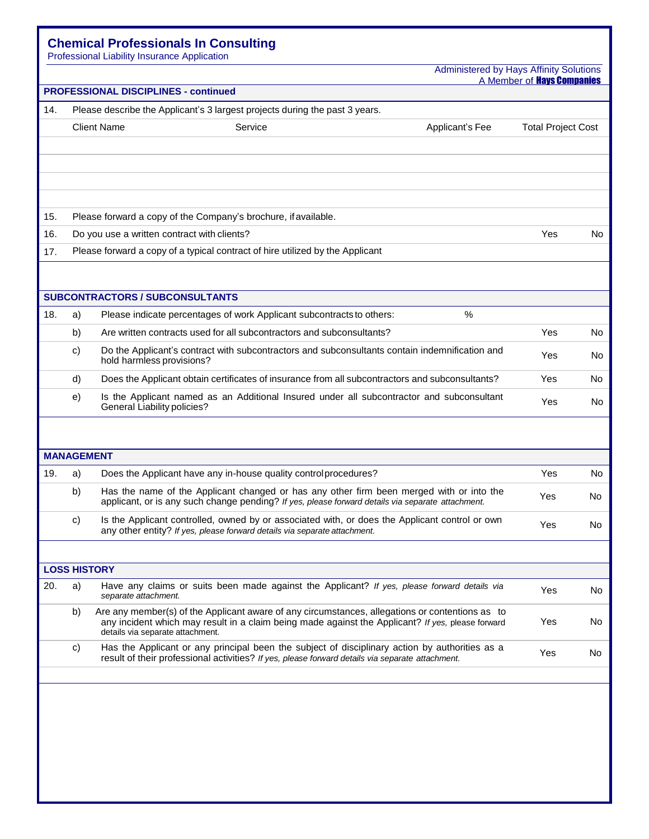# **Chemical Professionals In Consulting**

Professional Liability Insurance Application

Administered by Hays Affinity Solutions

| A Member of <b>Havs Companies</b> |  |  |  |  |
|-----------------------------------|--|--|--|--|
|                                   |  |  |  |  |

| <b>PROFESSIONAL DISCIPLINES - continued</b> |                                                                             |                                                                                                                                                                                                                                          |                           |     |  |  |  |  |
|---------------------------------------------|-----------------------------------------------------------------------------|------------------------------------------------------------------------------------------------------------------------------------------------------------------------------------------------------------------------------------------|---------------------------|-----|--|--|--|--|
| 14.                                         | Please describe the Applicant's 3 largest projects during the past 3 years. |                                                                                                                                                                                                                                          |                           |     |  |  |  |  |
|                                             |                                                                             | <b>Client Name</b><br>Service<br>Applicant's Fee                                                                                                                                                                                         | <b>Total Project Cost</b> |     |  |  |  |  |
|                                             |                                                                             |                                                                                                                                                                                                                                          |                           |     |  |  |  |  |
|                                             |                                                                             |                                                                                                                                                                                                                                          |                           |     |  |  |  |  |
|                                             |                                                                             |                                                                                                                                                                                                                                          |                           |     |  |  |  |  |
|                                             |                                                                             |                                                                                                                                                                                                                                          |                           |     |  |  |  |  |
| 15.                                         |                                                                             | Please forward a copy of the Company's brochure, if available.                                                                                                                                                                           |                           |     |  |  |  |  |
| 16.                                         |                                                                             | Do you use a written contract with clients?                                                                                                                                                                                              | Yes                       | No  |  |  |  |  |
| 17.                                         |                                                                             | Please forward a copy of a typical contract of hire utilized by the Applicant                                                                                                                                                            |                           |     |  |  |  |  |
|                                             |                                                                             |                                                                                                                                                                                                                                          |                           |     |  |  |  |  |
|                                             |                                                                             | <b>SUBCONTRACTORS / SUBCONSULTANTS</b>                                                                                                                                                                                                   |                           |     |  |  |  |  |
| 18.                                         | a)                                                                          | $\%$<br>Please indicate percentages of work Applicant subcontracts to others:                                                                                                                                                            |                           |     |  |  |  |  |
|                                             | b)                                                                          | Are written contracts used for all subcontractors and subconsultants?                                                                                                                                                                    | <b>Yes</b>                | No. |  |  |  |  |
|                                             |                                                                             |                                                                                                                                                                                                                                          |                           |     |  |  |  |  |
|                                             | C)                                                                          | Do the Applicant's contract with subcontractors and subconsultants contain indemnification and<br>hold harmless provisions?                                                                                                              | Yes                       | No. |  |  |  |  |
|                                             | d)                                                                          | Does the Applicant obtain certificates of insurance from all subcontractors and subconsultants?                                                                                                                                          | Yes                       | No. |  |  |  |  |
|                                             | e)                                                                          | Is the Applicant named as an Additional Insured under all subcontractor and subconsultant<br><b>General Liability policies?</b>                                                                                                          | Yes                       | No. |  |  |  |  |
|                                             |                                                                             |                                                                                                                                                                                                                                          |                           |     |  |  |  |  |
|                                             | <b>MANAGEMENT</b>                                                           |                                                                                                                                                                                                                                          |                           |     |  |  |  |  |
| 19.                                         | a)                                                                          | Does the Applicant have any in-house quality control procedures?                                                                                                                                                                         | Yes                       | No. |  |  |  |  |
|                                             | b)                                                                          | Has the name of the Applicant changed or has any other firm been merged with or into the                                                                                                                                                 |                           |     |  |  |  |  |
|                                             |                                                                             | applicant, or is any such change pending? If yes, please forward details via separate attachment.                                                                                                                                        | Yes                       | No  |  |  |  |  |
|                                             | C)                                                                          | Is the Applicant controlled, owned by or associated with, or does the Applicant control or own<br>any other entity? If yes, please forward details via separate attachment.                                                              | Yes                       | No  |  |  |  |  |
|                                             |                                                                             |                                                                                                                                                                                                                                          |                           |     |  |  |  |  |
|                                             |                                                                             | <b>LOSS HISTORY</b>                                                                                                                                                                                                                      |                           |     |  |  |  |  |
| 20.                                         | a)                                                                          | Have any claims or suits been made against the Applicant? If yes, please forward details via<br>separate attachment.                                                                                                                     | Yes                       | No  |  |  |  |  |
|                                             | b)                                                                          | Are any member(s) of the Applicant aware of any circumstances, allegations or contentions as to<br>any incident which may result in a claim being made against the Applicant? If yes, please forward<br>details via separate attachment. | Yes                       | No  |  |  |  |  |
|                                             | c)                                                                          | Has the Applicant or any principal been the subject of disciplinary action by authorities as a<br>result of their professional activities? If yes, please forward details via separate attachment.                                       | Yes                       | No. |  |  |  |  |
|                                             |                                                                             |                                                                                                                                                                                                                                          |                           |     |  |  |  |  |
|                                             |                                                                             |                                                                                                                                                                                                                                          |                           |     |  |  |  |  |
|                                             |                                                                             |                                                                                                                                                                                                                                          |                           |     |  |  |  |  |
|                                             |                                                                             |                                                                                                                                                                                                                                          |                           |     |  |  |  |  |
|                                             |                                                                             |                                                                                                                                                                                                                                          |                           |     |  |  |  |  |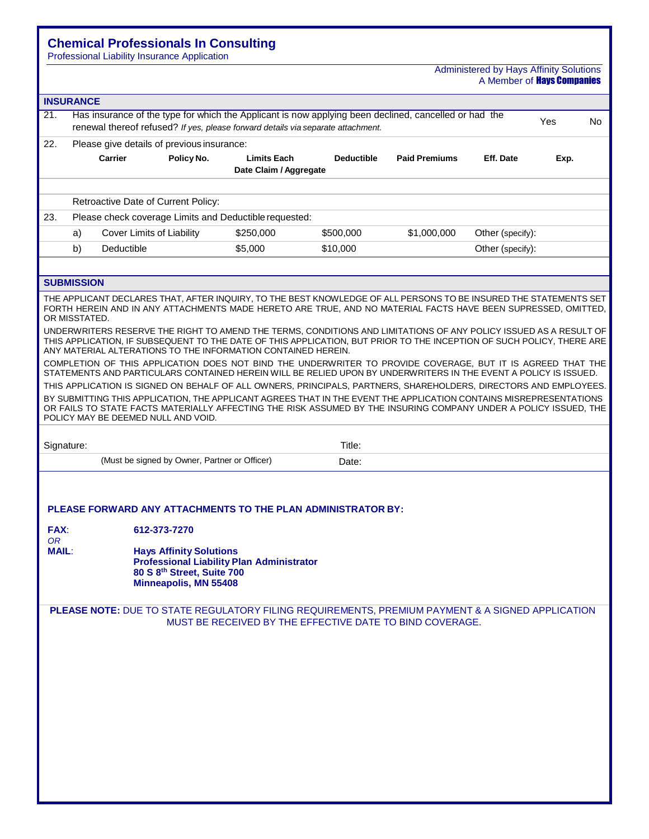# **Chemical Professionals In Consulting**

Professional Liability Insurance Application

#### Administered by Hays Affinity Solutions A Member of **Hays Companies**

| <b>INSURANCE</b>                  |                   |                                     |                                                                                                       |                                                                                                                                                                                                                                                                                                                                                                                                                                                                                                                                                                                                                                                                                                                                                                                                                                                                                                                                                                                                                                                                                                                                                    |                   |                      |                  |      |     |
|-----------------------------------|-------------------|-------------------------------------|-------------------------------------------------------------------------------------------------------|----------------------------------------------------------------------------------------------------------------------------------------------------------------------------------------------------------------------------------------------------------------------------------------------------------------------------------------------------------------------------------------------------------------------------------------------------------------------------------------------------------------------------------------------------------------------------------------------------------------------------------------------------------------------------------------------------------------------------------------------------------------------------------------------------------------------------------------------------------------------------------------------------------------------------------------------------------------------------------------------------------------------------------------------------------------------------------------------------------------------------------------------------|-------------------|----------------------|------------------|------|-----|
| 21.                               |                   |                                     |                                                                                                       | Has insurance of the type for which the Applicant is now applying been declined, cancelled or had the<br>renewal thereof refused? If yes, please forward details via separate attachment.                                                                                                                                                                                                                                                                                                                                                                                                                                                                                                                                                                                                                                                                                                                                                                                                                                                                                                                                                          |                   |                      |                  | Yes  | No. |
| 22.                               |                   |                                     | Please give details of previous insurance:                                                            |                                                                                                                                                                                                                                                                                                                                                                                                                                                                                                                                                                                                                                                                                                                                                                                                                                                                                                                                                                                                                                                                                                                                                    |                   |                      |                  |      |     |
|                                   |                   | <b>Carrier</b>                      | Policy No.                                                                                            | <b>Limits Each</b><br>Date Claim / Aggregate                                                                                                                                                                                                                                                                                                                                                                                                                                                                                                                                                                                                                                                                                                                                                                                                                                                                                                                                                                                                                                                                                                       | <b>Deductible</b> | <b>Paid Premiums</b> | Eff. Date        | Exp. |     |
|                                   |                   | Retroactive Date of Current Policy: |                                                                                                       |                                                                                                                                                                                                                                                                                                                                                                                                                                                                                                                                                                                                                                                                                                                                                                                                                                                                                                                                                                                                                                                                                                                                                    |                   |                      |                  |      |     |
| 23.                               |                   |                                     |                                                                                                       | Please check coverage Limits and Deductible requested:                                                                                                                                                                                                                                                                                                                                                                                                                                                                                                                                                                                                                                                                                                                                                                                                                                                                                                                                                                                                                                                                                             |                   |                      |                  |      |     |
|                                   | a)                | Cover Limits of Liability           |                                                                                                       | \$250,000                                                                                                                                                                                                                                                                                                                                                                                                                                                                                                                                                                                                                                                                                                                                                                                                                                                                                                                                                                                                                                                                                                                                          | \$500,000         | \$1,000,000          | Other (specify): |      |     |
|                                   | b)                | Deductible                          |                                                                                                       | \$5,000                                                                                                                                                                                                                                                                                                                                                                                                                                                                                                                                                                                                                                                                                                                                                                                                                                                                                                                                                                                                                                                                                                                                            | \$10,000          |                      | Other (specify): |      |     |
|                                   | <b>SUBMISSION</b> |                                     |                                                                                                       |                                                                                                                                                                                                                                                                                                                                                                                                                                                                                                                                                                                                                                                                                                                                                                                                                                                                                                                                                                                                                                                                                                                                                    |                   |                      |                  |      |     |
|                                   | OR MISSTATED.     | POLICY MAY BE DEEMED NULL AND VOID. |                                                                                                       | THE APPLICANT DECLARES THAT, AFTER INQUIRY, TO THE BEST KNOWLEDGE OF ALL PERSONS TO BE INSURED THE STATEMENTS SET<br>FORTH HEREIN AND IN ANY ATTACHMENTS MADE HERETO ARE TRUE, AND NO MATERIAL FACTS HAVE BEEN SUPRESSED, OMITTED,<br>UNDERWRITERS RESERVE THE RIGHT TO AMEND THE TERMS, CONDITIONS AND LIMITATIONS OF ANY POLICY ISSUED AS A RESULT OF<br>THIS APPLICATION, IF SUBSEQUENT TO THE DATE OF THIS APPLICATION, BUT PRIOR TO THE INCEPTION OF SUCH POLICY, THERE ARE<br>ANY MATERIAL ALTERATIONS TO THE INFORMATION CONTAINED HEREIN.<br>COMPLETION OF THIS APPLICATION DOES NOT BIND THE UNDERWRITER TO PROVIDE COVERAGE, BUT IT IS AGREED THAT THE<br>STATEMENTS AND PARTICULARS CONTAINED HEREIN WILL BE RELIED UPON BY UNDERWRITERS IN THE EVENT A POLICY IS ISSUED.<br>THIS APPLICATION IS SIGNED ON BEHALF OF ALL OWNERS, PRINCIPALS, PARTNERS, SHAREHOLDERS, DIRECTORS AND EMPLOYEES.<br>BY SUBMITTING THIS APPLICATION, THE APPLICANT AGREES THAT IN THE EVENT THE APPLICATION CONTAINS MISREPRESENTATIONS<br>OR FAILS TO STATE FACTS MATERIALLY AFFECTING THE RISK ASSUMED BY THE INSURING COMPANY UNDER A POLICY ISSUED, THE |                   |                      |                  |      |     |
| Signature:                        |                   |                                     |                                                                                                       |                                                                                                                                                                                                                                                                                                                                                                                                                                                                                                                                                                                                                                                                                                                                                                                                                                                                                                                                                                                                                                                                                                                                                    | Title:            |                      |                  |      |     |
|                                   |                   |                                     | (Must be signed by Owner, Partner or Officer)                                                         |                                                                                                                                                                                                                                                                                                                                                                                                                                                                                                                                                                                                                                                                                                                                                                                                                                                                                                                                                                                                                                                                                                                                                    | Date:             |                      |                  |      |     |
| FAX:<br><b>OR</b><br><b>MAIL:</b> |                   |                                     | 612-373-7270<br><b>Hays Affinity Solutions</b><br>80 S 8th Street, Suite 700<br>Minneapolis, MN 55408 | PLEASE FORWARD ANY ATTACHMENTS TO THE PLAN ADMINISTRATOR BY:<br><b>Professional Liability Plan Administrator</b>                                                                                                                                                                                                                                                                                                                                                                                                                                                                                                                                                                                                                                                                                                                                                                                                                                                                                                                                                                                                                                   |                   |                      |                  |      |     |
|                                   |                   |                                     |                                                                                                       | PLEASE NOTE: DUE TO STATE REGULATORY FILING REQUIREMENTS, PREMIUM PAYMENT & A SIGNED APPLICATION<br>MUST BE RECEIVED BY THE EFFECTIVE DATE TO BIND COVERAGE.                                                                                                                                                                                                                                                                                                                                                                                                                                                                                                                                                                                                                                                                                                                                                                                                                                                                                                                                                                                       |                   |                      |                  |      |     |